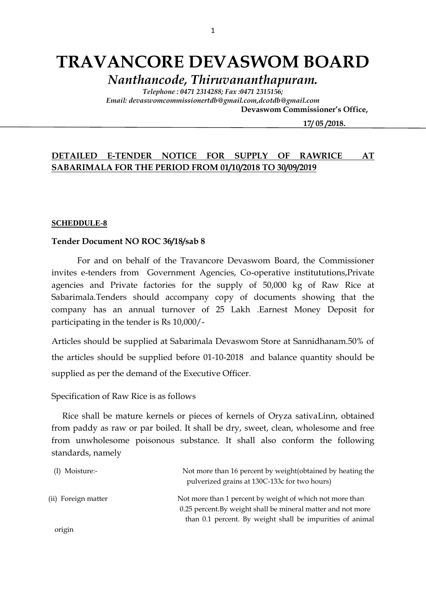# **TRAVANCORE DEVASWOM BOARD**

*Nanthancode, Thiruvananthapuram.*

*Telephone : 0471 2314288; Fax :0471 2315156; Email: devaswomcommissionertdb@gmail.com,dcotdb@gmail.com*

 **Devaswom Commissioner's Office,**

 **17/ 05 /2018.**

#### **DETAILED E-TENDER NOTICE FOR SUPPLY OF RAWRICE AT SABARIMALA FOR THE PERIOD FROM 01/10/2018 TO 30/09/2019**

#### **SCHEDDULE-8**

#### **Tender Document NO ROC 36/18/sab 8**

For and on behalf of the Travancore Devaswom Board, the Commissioner invites e-tenders from Government Agencies, Co-operative institututions,Private agencies and Private factories for the supply of 50,000 kg of Raw Rice at Sabarimala.Tenders should accompany copy of documents showing that the company has an annual turnover of 25 Lakh .Earnest Money Deposit for participating in the tender is Rs 10,000/-

Articles should be supplied at Sabarimala Devaswom Store at Sannidhanam.50% of the articles should be supplied before 01-10-2018 and balance quantity should be supplied as per the demand of the Executive Officer.

Specification of Raw Rice is as follows

 Rice shall be mature kernels or pieces of kernels of Oryza sativaLinn, obtained from paddy as raw or par boiled. It shall be dry, sweet, clean, wholesome and free from unwholesome poisonous substance. It shall also conform the following standards, namely

| (I) Moisture:-      | Not more than 16 percent by weight (obtained by heating the<br>pulverized grains at 130C-133c for two hours)             |
|---------------------|--------------------------------------------------------------------------------------------------------------------------|
| (ii) Foreign matter | Not more than 1 percent by weight of which not more than<br>0.25 percent. By weight shall be mineral matter and not more |
|                     | than 0.1 percent. By weight shall be impurities of animal                                                                |
| origin              |                                                                                                                          |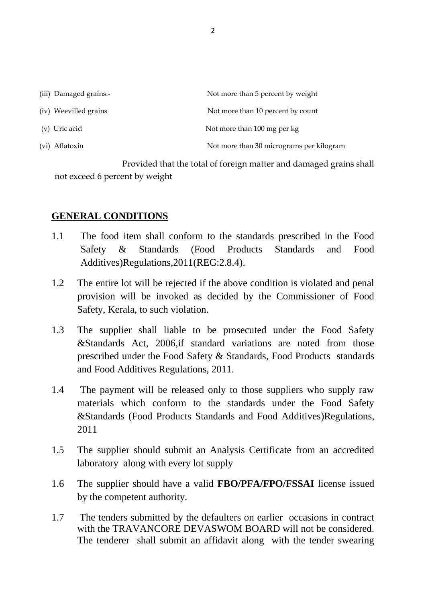| (iii) Damaged grains:- | Not more than 5 percent by weight        |
|------------------------|------------------------------------------|
| (iv) Weevilled grains  | Not more than 10 percent by count        |
| (v) Uric acid          | Not more than 100 mg per kg              |
| (vi) Aflatoxin         | Not more than 30 micrograms per kilogram |

 Provided that the total of foreign matter and damaged grains shall not exceed 6 percent by weight

## **GENERAL CONDITIONS**

- 1.1 The food item shall conform to the standards prescribed in the Food Safety & Standards (Food Products Standards and Food Additives)Regulations,2011(REG:2.8.4).
- 1.2 The entire lot will be rejected if the above condition is violated and penal provision will be invoked as decided by the Commissioner of Food Safety, Kerala, to such violation.
- 1.3 The supplier shall liable to be prosecuted under the Food Safety &Standards Act, 2006,if standard variations are noted from those prescribed under the Food Safety & Standards, Food Products standards and Food Additives Regulations, 2011.
- 1.4 The payment will be released only to those suppliers who supply raw materials which conform to the standards under the Food Safety &Standards (Food Products Standards and Food Additives)Regulations, 2011
- 1.5 The supplier should submit an Analysis Certificate from an accredited laboratory along with every lot supply
- 1.6 The supplier should have a valid **FBO/PFA/FPO/FSSAI** license issued by the competent authority.
- 1.7 The tenders submitted by the defaulters on earlier occasions in contract with the TRAVANCORE DEVASWOM BOARD will not be considered. The tenderer shall submit an affidavit along with the tender swearing

2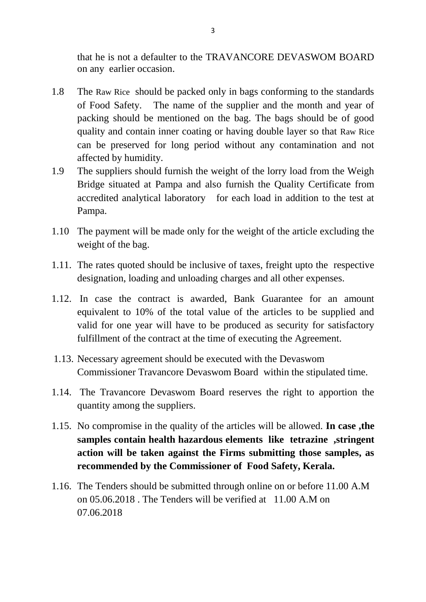that he is not a defaulter to the TRAVANCORE DEVASWOM BOARD on any earlier occasion.

- 1.8 The Raw Rice should be packed only in bags conforming to the standards of Food Safety. The name of the supplier and the month and year of packing should be mentioned on the bag. The bags should be of good quality and contain inner coating or having double layer so that Raw Rice can be preserved for long period without any contamination and not affected by humidity.
- 1.9 The suppliers should furnish the weight of the lorry load from the Weigh Bridge situated at Pampa and also furnish the Quality Certificate from accredited analytical laboratory for each load in addition to the test at Pampa.
- 1.10 The payment will be made only for the weight of the article excluding the weight of the bag.
- 1.11. The rates quoted should be inclusive of taxes, freight upto the respective designation, loading and unloading charges and all other expenses.
- 1.12. In case the contract is awarded, Bank Guarantee for an amount equivalent to 10% of the total value of the articles to be supplied and valid for one year will have to be produced as security for satisfactory fulfillment of the contract at the time of executing the Agreement.
- 1.13. Necessary agreement should be executed with the Devaswom Commissioner Travancore Devaswom Board within the stipulated time.
- 1.14. The Travancore Devaswom Board reserves the right to apportion the quantity among the suppliers.
- 1.15. No compromise in the quality of the articles will be allowed. **In case ,the samples contain health hazardous elements like tetrazine ,stringent action will be taken against the Firms submitting those samples, as recommended by the Commissioner of Food Safety, Kerala.**
- 1.16. The Tenders should be submitted through online on or before 11.00 A.M on 05.06.2018 . The Tenders will be verified at 11.00 A.M on 07.06.2018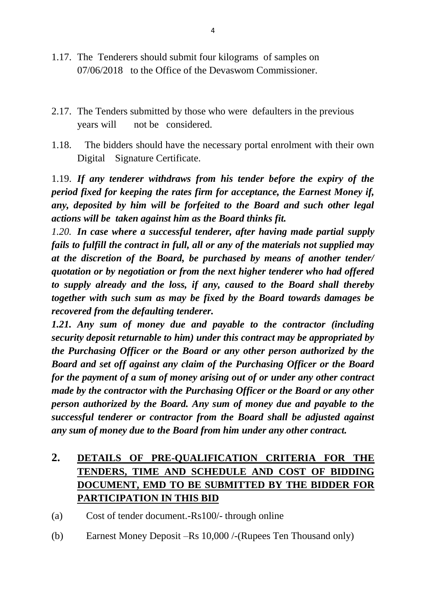- 1.17. The Tenderers should submit four kilograms of samples on 07/06/2018 to the Office of the Devaswom Commissioner.
- 2.17. The Tenders submitted by those who were defaulters in the previous years will not be considered.
- 1.18. The bidders should have the necessary portal enrolment with their own Digital Signature Certificate.

1.19. *If any tenderer withdraws from his tender before the expiry of the period fixed for keeping the rates firm for acceptance, the Earnest Money if, any, deposited by him will be forfeited to the Board and such other legal actions will be taken against him as the Board thinks fit.*

*1.20. In case where a successful tenderer, after having made partial supply fails to fulfill the contract in full, all or any of the materials not supplied may at the discretion of the Board, be purchased by means of another tender/ quotation or by negotiation or from the next higher tenderer who had offered to supply already and the loss, if any, caused to the Board shall thereby together with such sum as may be fixed by the Board towards damages be recovered from the defaulting tenderer.*

*1.21. Any sum of money due and payable to the contractor (including security deposit returnable to him) under this contract may be appropriated by the Purchasing Officer or the Board or any other person authorized by the Board and set off against any claim of the Purchasing Officer or the Board for the payment of a sum of money arising out of or under any other contract made by the contractor with the Purchasing Officer or the Board or any other person authorized by the Board. Any sum of money due and payable to the successful tenderer or contractor from the Board shall be adjusted against any sum of money due to the Board from him under any other contract.*

## **2. DETAILS OF PRE-QUALIFICATION CRITERIA FOR THE TENDERS, TIME AND SCHEDULE AND COST OF BIDDING DOCUMENT, EMD TO BE SUBMITTED BY THE BIDDER FOR PARTICIPATION IN THIS BID**

(a) Cost of tender document.-Rs100/- through online

(b) Earnest Money Deposit –Rs 10,000 /-(Rupees Ten Thousand only)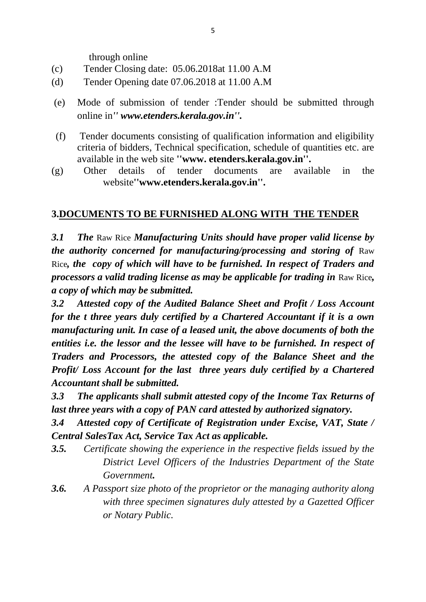through online

- (c) Tender Closing date: 05.06.2018at 11.00 A.M
- (d) Tender Opening date 07.06.2018 at 11.00 A.M
- (e) Mode of submission of tender :Tender should be submitted through online in*'' www.etenders.kerala.gov.in''.*
- (f) Tender documents consisting of qualification information and eligibility criteria of bidders, Technical specification, schedule of quantities etc. are available in the web site **''www. etenders.kerala.gov.in''.**
- (g) Other details of tender documents are available in the website**''www.etenders.kerala.gov.in''.**

## **3.DOCUMENTS TO BE FURNISHED ALONG WITH THE TENDER**

*3.1 The* Raw Rice *Manufacturing Units should have proper valid license by the authority concerned for manufacturing/processing and storing of Raw* Rice*, the copy of which will have to be furnished. In respect of Traders and processors a valid trading license as may be applicable for trading in* Raw Rice*, a copy of which may be submitted.*

*3.2 Attested copy of the Audited Balance Sheet and Profit / Loss Account for the t three years duly certified by a Chartered Accountant if it is a own manufacturing unit. In case of a leased unit, the above documents of both the entities i.e. the lessor and the lessee will have to be furnished. In respect of Traders and Processors, the attested copy of the Balance Sheet and the Profit/ Loss Account for the last three years duly certified by a Chartered Accountant shall be submitted.*

*3.3 The applicants shall submit attested copy of the Income Tax Returns of last three years with a copy of PAN card attested by authorized signatory.*

*3.4 Attested copy of Certificate of Registration under Excise, VAT, State / Central SalesTax Act, Service Tax Act as applicable.*

- *3.5. Certificate showing the experience in the respective fields issued by the District Level Officers of the Industries Department of the State Government.*
- *3.6. A Passport size photo of the proprietor or the managing authority along with three specimen signatures duly attested by a Gazetted Officer or Notary Public.*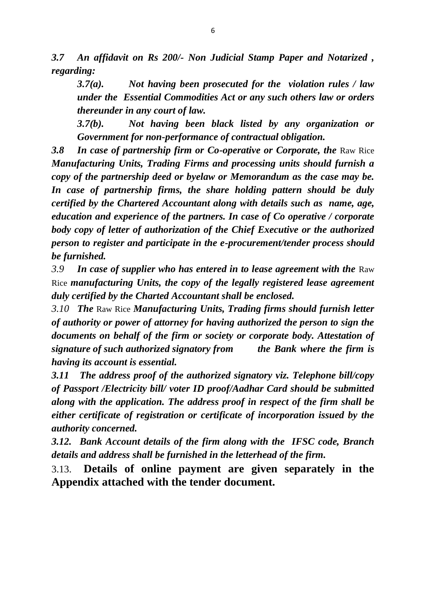*3.7 An affidavit on Rs 200/- Non Judicial Stamp Paper and Notarized , regarding:*

*3.7(a). Not having been prosecuted for the violation rules / law under the Essential Commodities Act or any such others law or orders thereunder in any court of law.*

*3.7(b). Not having been black listed by any organization or Government for non-performance of contractual obligation.*

**3.8 In case of partnership firm or Co-operative or Corporate, the Raw Rice** *Manufacturing Units, Trading Firms and processing units should furnish a copy of the partnership deed or byelaw or Memorandum as the case may be. In case of partnership firms, the share holding pattern should be duly certified by the Chartered Accountant along with details such as name, age, education and experience of the partners. In case of Co operative / corporate body copy of letter of authorization of the Chief Executive or the authorized person to register and participate in the e-procurement/tender process should be furnished.*

*3.9 In case of supplier who has entered in to lease agreement with the* Raw Rice *manufacturing Units, the copy of the legally registered lease agreement duly certified by the Charted Accountant shall be enclosed.*

*3.10 The* Raw Rice *Manufacturing Units, Trading firms should furnish letter of authority or power of attorney for having authorized the person to sign the documents on behalf of the firm or society or corporate body. Attestation of signature of such authorized signatory from the Bank where the firm is having its account is essential.*

*3.11 The address proof of the authorized signatory viz. Telephone bill/copy of Passport /Electricity bill/ voter ID proof/Aadhar Card should be submitted along with the application. The address proof in respect of the firm shall be either certificate of registration or certificate of incorporation issued by the authority concerned.*

*3.12. Bank Account details of the firm along with the IFSC code, Branch details and address shall be furnished in the letterhead of the firm.*

3.13. **Details of online payment are given separately in the Appendix attached with the tender document.**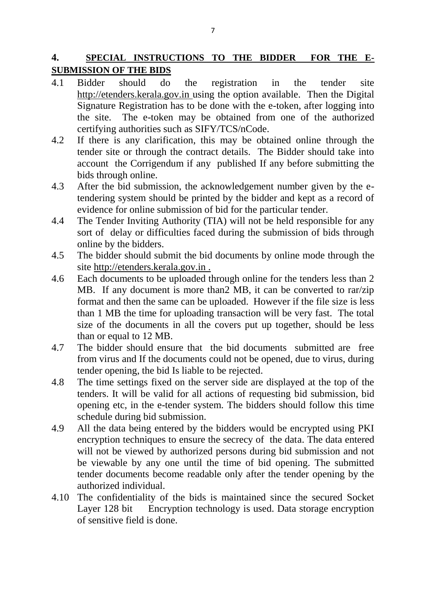## **4. SPECIAL INSTRUCTIONS TO THE BIDDER FOR THE E-SUBMISSION OF THE BIDS**

- 4.1 Bidder should do the registration in the tender site http://etenders.kerala.gov.in using the option available. Then the Digital Signature Registration has to be done with the e-token, after logging into the site. The e-token may be obtained from one of the authorized certifying authorities such as SIFY/TCS/nCode.
- 4.2 If there is any clarification, this may be obtained online through the tender site or through the contract details. The Bidder should take into account the Corrigendum if any published If any before submitting the bids through online.
- 4.3 After the bid submission, the acknowledgement number given by the etendering system should be printed by the bidder and kept as a record of evidence for online submission of bid for the particular tender.
- 4.4 The Tender Inviting Authority (TIA) will not be held responsible for any sort of delay or difficulties faced during the submission of bids through online by the bidders.
- 4.5 The bidder should submit the bid documents by online mode through the site http://etenders.kerala.gov.in .
- 4.6 Each documents to be uploaded through online for the tenders less than 2 MB. If any document is more than2 MB, it can be converted to rar/zip format and then the same can be uploaded. However if the file size is less than 1 MB the time for uploading transaction will be very fast. The total size of the documents in all the covers put up together, should be less than or equal to 12 MB.
- 4.7 The bidder should ensure that the bid documents submitted are free from virus and If the documents could not be opened, due to virus, during tender opening, the bid Is liable to be rejected.
- 4.8 The time settings fixed on the server side are displayed at the top of the tenders. It will be valid for all actions of requesting bid submission, bid opening etc, in the e-tender system. The bidders should follow this time schedule during bid submission.
- 4.9 All the data being entered by the bidders would be encrypted using PKI encryption techniques to ensure the secrecy of the data. The data entered will not be viewed by authorized persons during bid submission and not be viewable by any one until the time of bid opening. The submitted tender documents become readable only after the tender opening by the authorized individual.
- 4.10 The confidentiality of the bids is maintained since the secured Socket Layer 128 bit Encryption technology is used. Data storage encryption of sensitive field is done.